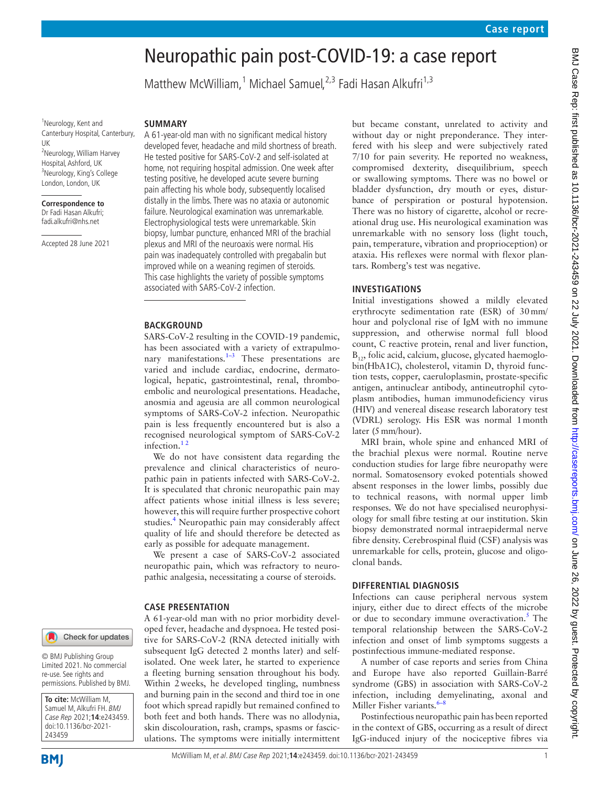# Neuropathic pain post-COVID-19: a case report

Matthew McWilliam,<sup>1</sup> Michael Samuel,<sup>2,3</sup> Fadi Hasan Alkufri<sup>1,3</sup>

<sup>1</sup>Neurology, Kent and Canterbury Hospital, Canterbury, UK <sup>2</sup>Neurology, William Harvey Hospital, Ashford, UK <sup>3</sup>Neurology, King's College London, London, UK

#### **Correspondence to** Dr Fadi Hasan Alkufri;

fadi.alkufri@nhs.net

Accepted 28 June 2021

#### **SUMMARY**

A 61-year-old man with no significant medical history developed fever, headache and mild shortness of breath. He tested positive for SARS-CoV-2 and self-isolated at home, not requiring hospital admission. One week after testing positive, he developed acute severe burning pain affecting his whole body, subsequently localised distally in the limbs. There was no ataxia or autonomic failure. Neurological examination was unremarkable. Electrophysiological tests were unremarkable. Skin biopsy, lumbar puncture, enhanced MRI of the brachial plexus and MRI of the neuroaxis were normal. His pain was inadequately controlled with pregabalin but improved while on a weaning regimen of steroids. This case highlights the variety of possible symptoms associated with SARS-CoV-2 infection.

#### **BACKGROUND**

SARS-CoV-2 resulting in the COVID-19 pandemic, has been associated with a variety of extrapulmonary manifestations. $1-3$  These presentations are varied and include cardiac, endocrine, dermatological, hepatic, gastrointestinal, renal, thromboembolic and neurological presentations. Headache, anosmia and ageusia are all common neurological symptoms of SARS‐CoV‐2 infection. Neuropathic pain is less frequently encountered but is also a recognised neurological symptom of SARS-CoV-2 infection.<sup>12</sup>

We do not have consistent data regarding the prevalence and clinical characteristics of neuropathic pain in patients infected with SARS‐CoV‐2. It is speculated that chronic neuropathic pain may affect patients whose initial illness is less severe; however, this will require further prospective cohort studies.<sup>4</sup> Neuropathic pain may considerably affect quality of life and should therefore be detected as early as possible for adequate management.

We present a case of SARS‐CoV‐2 associated neuropathic pain, which was refractory to neuropathic analgesia, necessitating a course of steroids.

#### **CASE PRESENTATION**

A 61-year-old man with no prior morbidity developed fever, headache and dyspnoea. He tested positive for SARS‐CoV‐2 (RNA detected initially with subsequent IgG detected 2 months later) and selfisolated. One week later, he started to experience a fleeting burning sensation throughout his body. Within 2weeks, he developed tingling, numbness and burning pain in the second and third toe in one foot which spread rapidly but remained confined to both feet and both hands. There was no allodynia, skin discolouration, rash, cramps, spasms or fasciculations. The symptoms were initially intermittent but became constant, unrelated to activity and without day or night preponderance. They interfered with his sleep and were subjectively rated 7/10 for pain severity. He reported no weakness, compromised dexterity, disequilibrium, speech or swallowing symptoms. There was no bowel or bladder dysfunction, dry mouth or eyes, disturbance of perspiration or postural hypotension. There was no history of cigarette, alcohol or recreational drug use. His neurological examination was unremarkable with no sensory loss (light touch, pain, temperature, vibration and proprioception) or ataxia. His reflexes were normal with flexor plantars. Romberg's test was negative.

#### **INVESTIGATIONS**

Initial investigations showed a mildly elevated erythrocyte sedimentation rate (ESR) of 30mm/ hour and polyclonal rise of IgM with no immune suppression, and otherwise normal full blood count, C reactive protein, renal and liver function,  $B_{12}$ , folic acid, calcium, glucose, glycated haemoglobin(HbA1C), cholesterol, vitamin D, thyroid function tests, copper, caeruloplasmin, prostate-specific antigen, antinuclear antibody, antineutrophil cytoplasm antibodies, human immunodeficiency virus (HIV) and venereal disease research laboratory test (VDRL) serology. His ESR was normal 1month later (5mm/hour).

MRI brain, whole spine and enhanced MRI of the brachial plexus were normal. Routine nerve conduction studies for large fibre neuropathy were normal. Somatosensory evoked potentials showed absent responses in the lower limbs, possibly due to technical reasons, with normal upper limb responses. We do not have specialised neurophysiology for small fibre testing at our institution. Skin biopsy demonstrated normal intraepidermal nerve fibre density. Cerebrospinal fluid (CSF) analysis was unremarkable for cells, protein, glucose and oligoclonal bands.

#### **DIFFERENTIAL DIAGNOSIS**

Infections can cause peripheral nervous system injury, either due to direct effects of the microbe or due to secondary immune overactivation.<sup>5</sup> The temporal relationship between the SARS‐CoV‐2 infection and onset of limb symptoms suggests a postinfectious immune-mediated response.

A number of case reports and series from China and Europe have also reported Guillain-Barré syndrome (GBS) in association with SARS‐CoV‐2 infection, including demyelinating, axonal and Miller Fisher variants. $6-8$ 

Postinfectious neuropathic pain has been reported in the context of GBS, occurring as a result of direct IgG-induced injury of the nociceptive fibres via

## Check for updates

© BMJ Publishing Group Limited 2021. No commercial re-use. See rights and permissions. Published by BMJ.

**To cite:** McWilliam M, Samuel M, Alkufri FH. BMJ Case Rep 2021;**14**:e243459. doi:10.1136/bcr-2021- 243459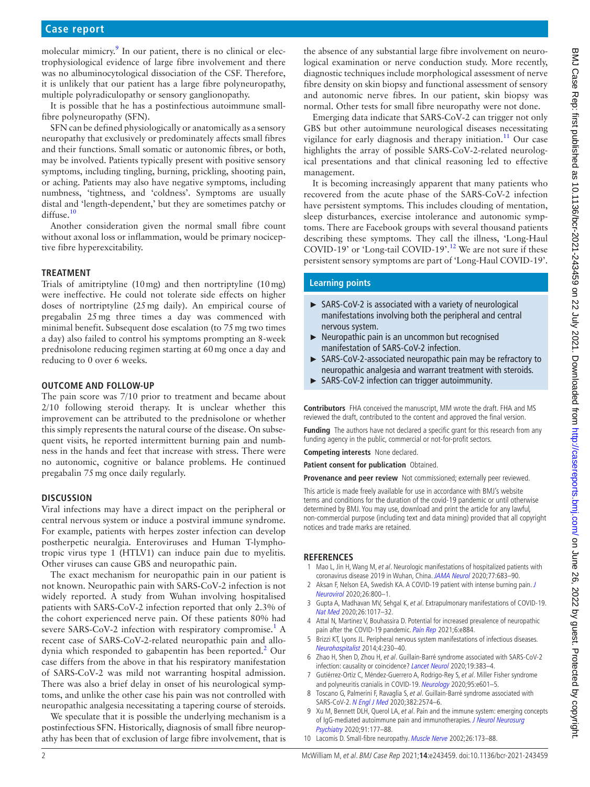molecular mimicry.<sup>[9](#page-1-4)</sup> In our patient, there is no clinical or electrophysiological evidence of large fibre involvement and there was no albuminocytological dissociation of the CSF. Therefore, it is unlikely that our patient has a large fibre polyneuropathy, multiple polyradiculopathy or sensory ganglionopathy.

It is possible that he has a postinfectious autoimmune smallfibre polyneuropathy (SFN).

SFN can be defined physiologically or anatomically as a sensory neuropathy that exclusively or predominately affects small fibres and their functions. Small somatic or autonomic fibres, or both, may be involved. Patients typically present with positive sensory symptoms, including tingling, burning, prickling, shooting pain, or aching. Patients may also have negative symptoms, including numbness, 'tightness, and 'coldness'. Symptoms are usually distal and 'length-dependent,' but they are sometimes patchy or diffuse.<sup>[10](#page-1-5)</sup>

Another consideration given the normal small fibre count without axonal loss or inflammation, would be primary nociceptive fibre hyperexcitability.

## **TREATMENT**

Trials of amitriptyline (10mg) and then nortriptyline (10mg) were ineffective. He could not tolerate side effects on higher doses of nortriptyline (25mg daily). An empirical course of pregabalin 25mg three times a day was commenced with minimal benefit. Subsequent dose escalation (to 75mg two times a day) also failed to control his symptoms prompting an 8-week prednisolone reducing regimen starting at 60mg once a day and reducing to 0 over 6 weeks.

## **OUTCOME AND FOLLOW-UP**

The pain score was 7/10 prior to treatment and became about 2/10 following steroid therapy. It is unclear whether this improvement can be attributed to the prednisolone or whether this simply represents the natural course of the disease. On subsequent visits, he reported intermittent burning pain and numbness in the hands and feet that increase with stress. There were no autonomic, cognitive or balance problems. He continued pregabalin 75mg once daily regularly.

## **DISCUSSION**

Viral infections may have a direct impact on the peripheral or central nervous system or induce a postviral immune syndrome. For example, patients with herpes zoster infection can develop postherpetic neuralgia. Enteroviruses and Human T-lymphotropic virus type 1 (HTLV1) can induce pain due to myelitis. Other viruses can cause GBS and neuropathic pain.

The exact mechanism for neuropathic pain in our patient is not known. Neuropathic pain with SARS‐CoV‐2 infection is not widely reported. A study from Wuhan involving hospitalised patients with SARS‐CoV‐2 infection reported that only 2.3% of the cohort experienced nerve pain. Of these patients 80% had severe SARS-CoV-2 infection with respiratory compromise.<sup>[1](#page-1-0)</sup> A recent case of SARS‐CoV‐2-related neuropathic pain and allodynia which responded to gabapentin has been reported.<sup>2</sup> Our case differs from the above in that his respiratory manifestation of SARS‐CoV‐2 was mild not warranting hospital admission. There was also a brief delay in onset of his neurological symptoms, and unlike the other case his pain was not controlled with neuropathic analgesia necessitating a tapering course of steroids.

We speculate that it is possible the underlying mechanism is a postinfectious SFN. Historically, diagnosis of small fibre neuropathy has been that of exclusion of large fibre involvement, that is

the absence of any substantial large fibre involvement on neurological examination or nerve conduction study. More recently, diagnostic techniques include morphological assessment of nerve fibre density on skin biopsy and functional assessment of sensory and autonomic nerve fibres. In our patient, skin biopsy was normal. Other tests for small fibre neuropathy were not done.

Emerging data indicate that SARS‐CoV‐2 can trigger not only GBS but other autoimmune neurological diseases necessitating vigilance for early diagnosis and therapy initiation.<sup>11</sup> Our case highlights the array of possible SARS‐CoV‐2-related neurological presentations and that clinical reasoning led to effective management.

It is becoming increasingly apparent that many patients who recovered from the acute phase of the SARS-CoV-2 infection have persistent symptoms. This includes clouding of mentation, sleep disturbances, exercise intolerance and autonomic symptoms. There are Facebook groups with several thousand patients describing these symptoms. They call the illness, 'Long-Haul COVID-19' or 'Long-tail COVID-19'.<sup>12</sup> We are not sure if these persistent sensory symptoms are part of 'Long-Haul COVID-19'.

## **Learning points**

- ► SARS-CoV-2 is associated with a variety of neurological manifestations involving both the peripheral and central nervous system.
- ► Neuropathic pain is an uncommon but recognised manifestation of SARS-CoV-2 infection.
- ► SARS-CoV-2-associated neuropathic pain may be refractory to neuropathic analgesia and warrant treatment with steroids.
- ► SARS-CoV-2 infection can trigger autoimmunity.

**Contributors** FHA conceived the manuscript, MM wrote the draft. FHA and MS reviewed the draft, contributed to the content and approved the final version.

**Funding** The authors have not declared a specific grant for this research from any funding agency in the public, commercial or not-for-profit sectors.

**Competing interests** None declared.

**Patient consent for publication** Obtained.

**Provenance and peer review** Not commissioned; externally peer reviewed.

This article is made freely available for use in accordance with BMJ's website terms and conditions for the duration of the covid-19 pandemic or until otherwise determined by BMJ. You may use, download and print the article for any lawful, non-commercial purpose (including text and data mining) provided that all copyright notices and trade marks are retained.

## **REFERENCES**

- <span id="page-1-0"></span>1 Mao L, Jin H, Wang M, et al. Neurologic manifestations of hospitalized patients with coronavirus disease 2019 in Wuhan, China. [JAMA Neurol](http://dx.doi.org/10.1001/jamaneurol.2020.1127) 2020;77:683-90.
- <span id="page-1-6"></span>2 Aksan F, Nelson EA, Swedish KA. A COVID-19 patient with intense burning pain. J [Neurovirol](http://dx.doi.org/10.1007/s13365-020-00887-4) 2020;26:800–1.
- 3 Gupta A, Madhavan MV, Sehgal K, et al. Extrapulmonary manifestations of COVID-19. [Nat Med](http://dx.doi.org/10.1038/s41591-020-0968-3) 2020;26:1017–32.
- <span id="page-1-1"></span>4 Attal N, Martinez V, Bouhassira D. Potential for increased prevalence of neuropathic pain after the COVID-19 pandemic. [Pain Rep](http://dx.doi.org/10.1097/PR9.0000000000000884) 2021;6:e884.
- <span id="page-1-2"></span>5 Brizzi KT, Lyons JL. Peripheral nervous system manifestations of infectious diseases. [Neurohospitalist](http://dx.doi.org/10.1177/1941874414535215) 2014;4:230–40.
- <span id="page-1-3"></span>6 Zhao H, Shen D, Zhou H, et al. Guillain-Barré syndrome associated with SARS-CoV-2 infection: causality or coincidence? [Lancet Neurol](http://dx.doi.org/10.1016/S1474-4422(20)30109-5) 2020;19:383–4.
- 7 Gutiérrez-Ortiz C, Méndez-Guerrero A, Rodrigo-Rey S, et al. Miller Fisher syndrome and polyneuritis cranialis in COVID-19. [Neurology](http://dx.doi.org/10.1212/WNL.0000000000009619) 2020;95:e601-5.
- 8 Toscano G, Palmerini F, Ravaglia S, et al. Guillain-Barré syndrome associated with SARS-CoV-2. [N Engl J Med](http://dx.doi.org/10.1056/NEJMc2009191) 2020;382:2574–6.
- <span id="page-1-4"></span>9 Xu M, Bennett DLH, Querol LA, et al. Pain and the immune system: emerging concepts of IgG-mediated autoimmune pain and immunotherapies. J Neurol Neurosurg [Psychiatry](http://dx.doi.org/10.1136/jnnp-2018-318556) 2020;91:177–88.
- <span id="page-1-5"></span>10 Lacomis D. Small-fibre neuropathy. [Muscle Nerve](http://dx.doi.org/10.1002/mus.10181) 2002;26:173-88.